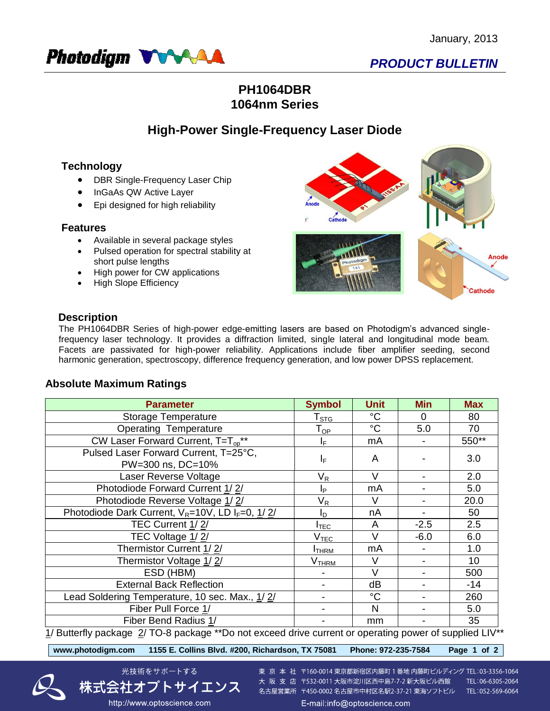

# *PRODUCT BULLETIN*

## **PH1064DBR 1064nm Series**

## **High-Power Single-Frequency Laser Diode**

## **Technology**

- DBR Single-Frequency Laser Chip
- InGaAs QW Active Layer
- Epi designed for high reliability

#### **Features**

- Available in several package styles
- Pulsed operation for spectral stability at short pulse lengths
- High power for CW applications
- High Slope Efficiency



### **Description**

The PH1064DBR Series of high-power edge-emitting lasers are based on Photodigm's advanced singlefrequency laser technology. It provides a diffraction limited, single lateral and longitudinal mode beam. Facets are passivated for high-power reliability. Applications include fiber amplifier seeding, second harmonic generation, spectroscopy, difference frequency generation, and low power DPSS replacement.

## **Absolute Maximum Ratings**

| <b>Parameter</b>                                                         | <b>Symbol</b>              | <b>Unit</b>     | <b>Min</b>     | <b>Max</b>              |
|--------------------------------------------------------------------------|----------------------------|-----------------|----------------|-------------------------|
| Storage Temperature                                                      | ${\mathsf T}_{\text{STG}}$ | $^{\circ}C$     | 0              | 80                      |
| <b>Operating Temperature</b>                                             | ${\sf T}_{\sf OP}$         | $\rm ^{\circ}C$ | 5.0            | 70                      |
| CW Laser Forward Current, $T = T_{\text{on}}^{**}$                       | IF.                        | mA              |                | 550**                   |
| Pulsed Laser Forward Current, T=25°C,                                    | IF.                        | A               |                | 3.0                     |
| PW=300 ns, DC=10%                                                        |                            |                 |                |                         |
| Laser Reverse Voltage                                                    | $\mathsf{V}_\mathsf{R}$    | $\vee$          |                | 2.0                     |
| Photodiode Forward Current 1/2/                                          | IP.                        | mA              |                | 5.0                     |
| Photodiode Reverse Voltage 1/2/                                          | V <sub>R</sub>             | V               |                | 20.0                    |
| Photodiode Dark Current, $V_R = 10V$ , LD $I_F = 0$ , $1/2/$             | ΙD                         | nA              |                | 50                      |
| TEC Current 1/2/                                                         | I <sub>TEC</sub>           | A               | $-2.5$         | 2.5                     |
| TEC Voltage 1/2/                                                         | V <sub>TEC</sub>           | V               | $-6.0$         | 6.0                     |
| Thermistor Current 1/2/                                                  | <b>I</b> THRM              | mA              |                | 1.0                     |
| Thermistor Voltage 1/2/                                                  | V <sub>THRM</sub>          | V               | $\blacksquare$ | 10                      |
| ESD (HBM)                                                                |                            | $\vee$          |                | 500                     |
| <b>External Back Reflection</b>                                          |                            | dB              |                | $-14$                   |
| Lead Soldering Temperature, 10 sec. Max., 1/2/                           |                            | $^{\circ}C$     |                | 260                     |
| Fiber Pull Force 1/                                                      |                            | N               |                | 5.0                     |
| Fiber Bend Radius 1/<br>$\mathbf{r}$ and $\mathbf{r}$<br>$\overline{11}$ |                            | mm              |                | 35<br>$\cdots$ $\cdots$ |

1/ Butterfly package 2/ TO-8 package \*\*Do not exceed drive current or operating power of supplied LIV\*\*<br>————————————————————

**www.photodigm.com 1155 E. Collins Blvd. #200, Richardson, TX 75081 Phone: 972-235-7584 Page 1 of 2** 



東 京 本 社 〒160-0014 東京都新宿区内藤町 1 番地 内藤町ビルディング TEL:03-3356-1064 大阪支店 〒532-0011 大阪市淀川区西中島7-7-2 新大阪ビル西館 TEL:06-6305-2064 名古屋営業所 〒450-0002 名古屋市中村区名駅2-37-21 東海ソフトビル TEL:052-569-6064

http://www.optoscience.com

社オフトサイエンス

光技術をサポートする

E-mail:info@optoscience.com